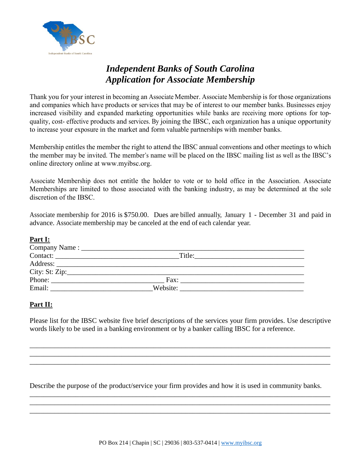

# *Independent Banks of South Carolina Application for Associate Membership*

Thank you for your interest in becoming an Associate Member. Associate Membership is for those organizations and companies which have products or services that may be of interest to our member banks. Businesses enjoy increased visibility and expanded marketing opportunities while banks are receiving more options for topquality, cost- effective products and services. By joining the IBSC, each organization has a unique opportunity to increase your exposure in the market and form valuable partnerships with member banks.

Membership entitles the member the right to attend the IBSC annual conventions and other meetings to which the member may be invited. The member's name will be placed on the IBSC mailing list as well as the IBSC's online directory online at [www.myibsc.org.](http://www.myibsc.org/)

Associate Membership does not entitle the holder to vote or to hold office in the Association. Associate Memberships are limited to those associated with the banking industry, as may be determined at the sole discretion of the IBSC.

Associate membership for 2016 is \$750.00. Dues are billed annually, January 1 - December 31 and paid in advance. Associate membership may be canceled at the end of each calendar year.

## **Part I:**

| the contract of the contract of the contract of the contract of the contract of |          |  |  |  |  |  |  |
|---------------------------------------------------------------------------------|----------|--|--|--|--|--|--|
| Contact:                                                                        | Title:   |  |  |  |  |  |  |
|                                                                                 |          |  |  |  |  |  |  |
| City: St: Zip: $\_\_\_\_\_\_\_\_\_\_\_\_\_\_\_$                                 |          |  |  |  |  |  |  |
| Phone:                                                                          | Fax:     |  |  |  |  |  |  |
| Email:                                                                          | Website: |  |  |  |  |  |  |

## **Part II:**

Please list for the IBSC website five brief descriptions of the services your firm provides. Use descriptive words likely to be used in a banking environment or by a banker calling IBSC for a reference.

\_\_\_\_\_\_\_\_\_\_\_\_\_\_\_\_\_\_\_\_\_\_\_\_\_\_\_\_\_\_\_\_\_\_\_\_\_\_\_\_\_\_\_\_\_\_\_\_\_\_\_\_\_\_\_\_\_\_\_\_\_\_\_\_\_\_\_\_\_\_\_\_\_\_\_\_\_\_\_\_\_\_\_\_\_ \_\_\_\_\_\_\_\_\_\_\_\_\_\_\_\_\_\_\_\_\_\_\_\_\_\_\_\_\_\_\_\_\_\_\_\_\_\_\_\_\_\_\_\_\_\_\_\_\_\_\_\_\_\_\_\_\_\_\_\_\_\_\_\_\_\_\_\_\_\_\_\_\_\_\_\_\_\_\_\_\_\_\_\_\_ \_\_\_\_\_\_\_\_\_\_\_\_\_\_\_\_\_\_\_\_\_\_\_\_\_\_\_\_\_\_\_\_\_\_\_\_\_\_\_\_\_\_\_\_\_\_\_\_\_\_\_\_\_\_\_\_\_\_\_\_\_\_\_\_\_\_\_\_\_\_\_\_\_\_\_\_\_\_\_\_\_\_\_\_\_

Describe the purpose of the product/service your firm provides and how it is used in community banks.

\_\_\_\_\_\_\_\_\_\_\_\_\_\_\_\_\_\_\_\_\_\_\_\_\_\_\_\_\_\_\_\_\_\_\_\_\_\_\_\_\_\_\_\_\_\_\_\_\_\_\_\_\_\_\_\_\_\_\_\_\_\_\_\_\_\_\_\_\_\_\_\_\_\_\_\_\_\_\_\_\_\_\_\_\_ \_\_\_\_\_\_\_\_\_\_\_\_\_\_\_\_\_\_\_\_\_\_\_\_\_\_\_\_\_\_\_\_\_\_\_\_\_\_\_\_\_\_\_\_\_\_\_\_\_\_\_\_\_\_\_\_\_\_\_\_\_\_\_\_\_\_\_\_\_\_\_\_\_\_\_\_\_\_\_\_\_\_\_\_\_ \_\_\_\_\_\_\_\_\_\_\_\_\_\_\_\_\_\_\_\_\_\_\_\_\_\_\_\_\_\_\_\_\_\_\_\_\_\_\_\_\_\_\_\_\_\_\_\_\_\_\_\_\_\_\_\_\_\_\_\_\_\_\_\_\_\_\_\_\_\_\_\_\_\_\_\_\_\_\_\_\_\_\_\_\_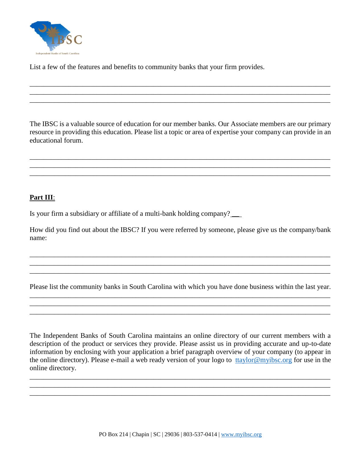

List a few of the features and benefits to community banks that your firm provides.

The IBSC is a valuable source of education for our member banks. Our Associate members are our primary resource in providing this education. Please list a topic or area of expertise your company can provide in an educational forum.

\_\_\_\_\_\_\_\_\_\_\_\_\_\_\_\_\_\_\_\_\_\_\_\_\_\_\_\_\_\_\_\_\_\_\_\_\_\_\_\_\_\_\_\_\_\_\_\_\_\_\_\_\_\_\_\_\_\_\_\_\_\_\_\_\_\_\_\_\_\_\_\_\_\_\_\_\_\_\_\_\_\_\_\_\_ \_\_\_\_\_\_\_\_\_\_\_\_\_\_\_\_\_\_\_\_\_\_\_\_\_\_\_\_\_\_\_\_\_\_\_\_\_\_\_\_\_\_\_\_\_\_\_\_\_\_\_\_\_\_\_\_\_\_\_\_\_\_\_\_\_\_\_\_\_\_\_\_\_\_\_\_\_\_\_\_\_\_\_\_\_ \_\_\_\_\_\_\_\_\_\_\_\_\_\_\_\_\_\_\_\_\_\_\_\_\_\_\_\_\_\_\_\_\_\_\_\_\_\_\_\_\_\_\_\_\_\_\_\_\_\_\_\_\_\_\_\_\_\_\_\_\_\_\_\_\_\_\_\_\_\_\_\_\_\_\_\_\_\_\_\_\_\_\_\_\_

\_\_\_\_\_\_\_\_\_\_\_\_\_\_\_\_\_\_\_\_\_\_\_\_\_\_\_\_\_\_\_\_\_\_\_\_\_\_\_\_\_\_\_\_\_\_\_\_\_\_\_\_\_\_\_\_\_\_\_\_\_\_\_\_\_\_\_\_\_\_\_\_\_\_\_\_\_\_\_\_\_\_\_\_\_ \_\_\_\_\_\_\_\_\_\_\_\_\_\_\_\_\_\_\_\_\_\_\_\_\_\_\_\_\_\_\_\_\_\_\_\_\_\_\_\_\_\_\_\_\_\_\_\_\_\_\_\_\_\_\_\_\_\_\_\_\_\_\_\_\_\_\_\_\_\_\_\_\_\_\_\_\_\_\_\_\_\_\_\_\_ \_\_\_\_\_\_\_\_\_\_\_\_\_\_\_\_\_\_\_\_\_\_\_\_\_\_\_\_\_\_\_\_\_\_\_\_\_\_\_\_\_\_\_\_\_\_\_\_\_\_\_\_\_\_\_\_\_\_\_\_\_\_\_\_\_\_\_\_\_\_\_\_\_\_\_\_\_\_\_\_\_\_\_\_\_

#### **Part III**:

Is your firm a subsidiary or affiliate of a multi-bank holding company?

How did you find out about the IBSC? If you were referred by someone, please give us the company/bank name:

\_\_\_\_\_\_\_\_\_\_\_\_\_\_\_\_\_\_\_\_\_\_\_\_\_\_\_\_\_\_\_\_\_\_\_\_\_\_\_\_\_\_\_\_\_\_\_\_\_\_\_\_\_\_\_\_\_\_\_\_\_\_\_\_\_\_\_\_\_\_\_\_\_\_\_\_\_\_\_\_\_\_\_\_\_

 $\mathcal{L}_\mathcal{L} = \{ \mathcal{L}_\mathcal{L} = \{ \mathcal{L}_\mathcal{L} = \{ \mathcal{L}_\mathcal{L} = \{ \mathcal{L}_\mathcal{L} = \{ \mathcal{L}_\mathcal{L} = \{ \mathcal{L}_\mathcal{L} = \{ \mathcal{L}_\mathcal{L} = \{ \mathcal{L}_\mathcal{L} = \{ \mathcal{L}_\mathcal{L} = \{ \mathcal{L}_\mathcal{L} = \{ \mathcal{L}_\mathcal{L} = \{ \mathcal{L}_\mathcal{L} = \{ \mathcal{L}_\mathcal{L} = \{ \mathcal{L}_\mathcal{$  $\mathcal{L}_\mathcal{L} = \{ \mathcal{L}_1, \mathcal{L}_2, \ldots, \mathcal{L}_N, \mathcal{L}_N, \mathcal{L}_N, \mathcal{L}_N, \mathcal{L}_N, \mathcal{L}_N, \mathcal{L}_N, \mathcal{L}_N, \mathcal{L}_N, \mathcal{L}_N, \mathcal{L}_N, \mathcal{L}_N, \mathcal{L}_N, \mathcal{L}_N, \mathcal{L}_N, \mathcal{L}_N, \mathcal{L}_N, \mathcal{L}_N, \mathcal{L}_N, \mathcal{L}_N, \mathcal{L}_N, \mathcal{L}_N, \mathcal{L}_N, \$ 

Please list the community banks in South Carolina with which you have done business within the last year.

\_\_\_\_\_\_\_\_\_\_\_\_\_\_\_\_\_\_\_\_\_\_\_\_\_\_\_\_\_\_\_\_\_\_\_\_\_\_\_\_\_\_\_\_\_\_\_\_\_\_\_\_\_\_\_\_\_\_\_\_\_\_\_\_\_\_\_\_\_\_\_\_\_\_\_\_\_\_\_\_\_\_\_\_\_ \_\_\_\_\_\_\_\_\_\_\_\_\_\_\_\_\_\_\_\_\_\_\_\_\_\_\_\_\_\_\_\_\_\_\_\_\_\_\_\_\_\_\_\_\_\_\_\_\_\_\_\_\_\_\_\_\_\_\_\_\_\_\_\_\_\_\_\_\_\_\_\_\_\_\_\_\_\_\_\_\_\_\_\_\_

The Independent Banks of South Carolina maintains an online directory of our current members with a description of the product or services they provide. Please assist us in providing accurate and up-to-date information by enclosing with your application a brief paragraph overview of your company (to appear in the online directory). Please e-mail a web ready version of your logo to [ttaylor@myibsc.org](mailto:ttaylor@myibsc.org) for use in the online directory.

\_\_\_\_\_\_\_\_\_\_\_\_\_\_\_\_\_\_\_\_\_\_\_\_\_\_\_\_\_\_\_\_\_\_\_\_\_\_\_\_\_\_\_\_\_\_\_\_\_\_\_\_\_\_\_\_\_\_\_\_\_\_\_\_\_\_\_\_\_\_\_\_\_\_\_\_\_\_\_\_\_\_\_\_\_ \_\_\_\_\_\_\_\_\_\_\_\_\_\_\_\_\_\_\_\_\_\_\_\_\_\_\_\_\_\_\_\_\_\_\_\_\_\_\_\_\_\_\_\_\_\_\_\_\_\_\_\_\_\_\_\_\_\_\_\_\_\_\_\_\_\_\_\_\_\_\_\_\_\_\_\_\_\_\_\_\_\_\_\_\_ \_\_\_\_\_\_\_\_\_\_\_\_\_\_\_\_\_\_\_\_\_\_\_\_\_\_\_\_\_\_\_\_\_\_\_\_\_\_\_\_\_\_\_\_\_\_\_\_\_\_\_\_\_\_\_\_\_\_\_\_\_\_\_\_\_\_\_\_\_\_\_\_\_\_\_\_\_\_\_\_\_\_\_\_\_